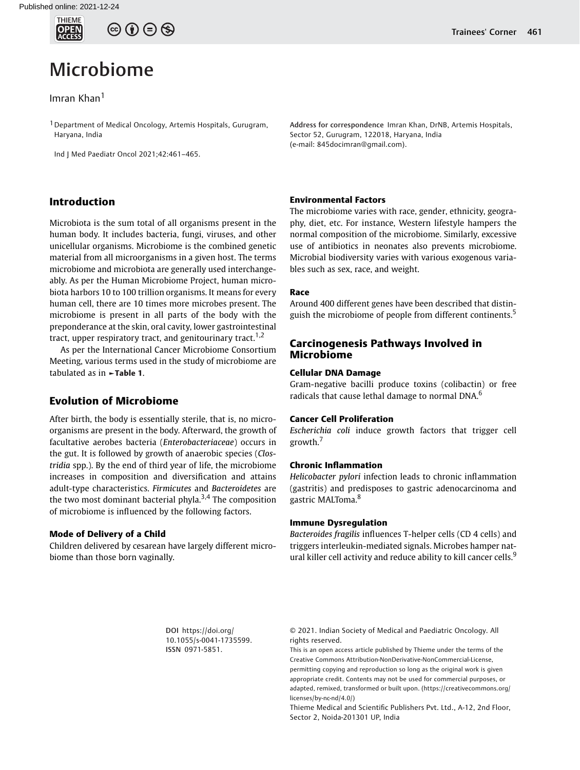

## $\circledcirc$   $\bullet$   $\circledcirc$

# Microbiome

## Imran Khan<sup>1</sup>

<sup>1</sup> Department of Medical Oncology, Artemis Hospitals, Gurugram, Haryana, India

Ind J Med Paediatr Oncol 2021;42:461–465.

## Introduction

Microbiota is the sum total of all organisms present in the human body. It includes bacteria, fungi, viruses, and other unicellular organisms. Microbiome is the combined genetic material from all microorganisms in a given host. The terms microbiome and microbiota are generally used interchangeably. As per the Human Microbiome Project, human microbiota harbors 10 to 100 trillion organisms. It means for every human cell, there are 10 times more microbes present. The microbiome is present in all parts of the body with the preponderance at the skin, oral cavity, lower gastrointestinal tract, upper respiratory tract, and genitourinary tract.<sup>1,2</sup>

As per the International Cancer Microbiome Consortium Meeting, various terms used in the study of microbiome are tabulated as in **-Table 1.** 

## Evolution of Microbiome

After birth, the body is essentially sterile, that is, no microorganisms are present in the body. Afterward, the growth of facultative aerobes bacteria (Enterobacteriaceae) occurs in the gut. It is followed by growth of anaerobic species (Clostridia spp.). By the end of third year of life, the microbiome increases in composition and diversification and attains adult-type characteristics. Firmicutes and Bacteroidetes are the two most dominant bacterial phyla.<sup>3,4</sup> The composition of microbiome is influenced by the following factors.

#### Mode of Delivery of a Child

Children delivered by cesarean have largely different microbiome than those born vaginally.

Address for correspondence Imran Khan, DrNB, Artemis Hospitals, Sector 52, Gurugram, 122018, Haryana, India (e-mail: 845docimran@gmail.com).

#### Environmental Factors

The microbiome varies with race, gender, ethnicity, geography, diet, etc. For instance, Western lifestyle hampers the normal composition of the microbiome. Similarly, excessive use of antibiotics in neonates also prevents microbiome. Microbial biodiversity varies with various exogenous variables such as sex, race, and weight.

#### Race

Around 400 different genes have been described that distinguish the microbiome of people from different continents.<sup>5</sup>

## Carcinogenesis Pathways Involved in Microbiome

#### Cellular DNA Damage

Gram-negative bacilli produce toxins (colibactin) or free radicals that cause lethal damage to normal DNA.<sup>6</sup>

#### Cancer Cell Proliferation

Escherichia coli induce growth factors that trigger cell growth.<sup>7</sup>

#### Chronic Inflammation

Helicobacter pylori infection leads to chronic inflammation (gastritis) and predisposes to gastric adenocarcinoma and gastric MALToma.<sup>8</sup>

#### Immune Dysregulation

Bacteroides fragilis influences T-helper cells (CD 4 cells) and triggers interleukin-mediated signals. Microbes hamper natural killer cell activity and reduce ability to kill cancer cells.<sup>9</sup>

DOI https://doi.org/ 10.1055/s-0041-1735599. ISSN 0971-5851.

© 2021. Indian Society of Medical and Paediatric Oncology. All rights reserved.

This is an open access article published by Thieme under the terms of the Creative Commons Attribution-NonDerivative-NonCommercial-License, permitting copying and reproduction so long as the original work is given appropriate credit. Contents may not be used for commercial purposes, or adapted, remixed, transformed or built upon. (https://creativecommons.org/ licenses/by-nc-nd/4.0/)

Thieme Medical and Scientific Publishers Pvt. Ltd., A-12, 2nd Floor, Sector 2, Noida-201301 UP, India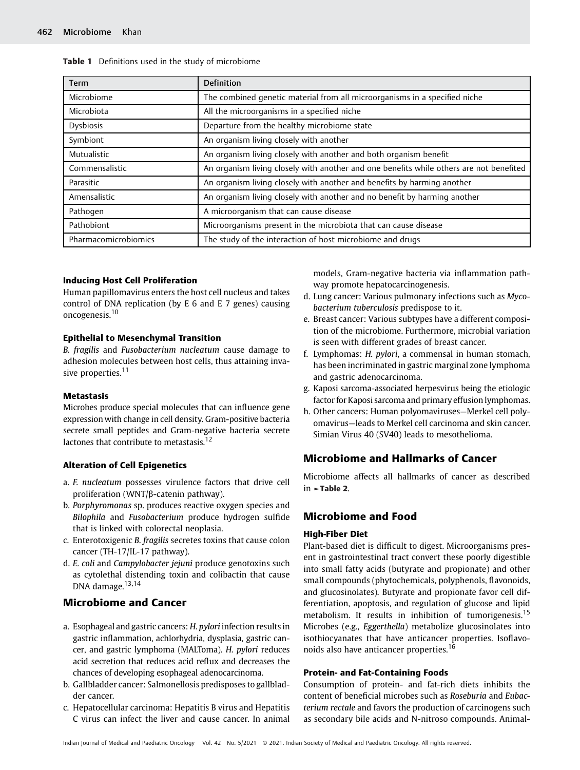| <b>Term</b>          | <b>Definition</b>                                                                       |
|----------------------|-----------------------------------------------------------------------------------------|
| Microbiome           | The combined genetic material from all microorganisms in a specified niche              |
| Microbiota           | All the microorganisms in a specified niche                                             |
| <b>Dysbiosis</b>     | Departure from the healthy microbiome state                                             |
| Symbiont             | An organism living closely with another                                                 |
| Mutualistic          | An organism living closely with another and both organism benefit                       |
| Commensalistic       | An organism living closely with another and one benefits while others are not benefited |
| Parasitic            | An organism living closely with another and benefits by harming another                 |
| Amensalistic         | An organism living closely with another and no benefit by harming another               |
| Pathogen             | A microorganism that can cause disease                                                  |
| Pathobiont           | Microorganisms present in the microbiota that can cause disease                         |
| Pharmacomicrobiomics | The study of the interaction of host microbiome and drugs                               |

#### Table 1 Definitions used in the study of microbiome

#### Inducing Host Cell Proliferation

Human papillomavirus enters the host cell nucleus and takes control of DNA replication (by E 6 and E 7 genes) causing oncogenesis.<sup>10</sup>

#### Epithelial to Mesenchymal Transition

B. fragilis and Fusobacterium nucleatum cause damage to adhesion molecules between host cells, thus attaining invasive properties.<sup>11</sup>

#### **Metastasis**

Microbes produce special molecules that can influence gene expression with change in cell density. Gram-positive bacteria secrete small peptides and Gram-negative bacteria secrete lactones that contribute to metastasis.<sup>12</sup>

#### Alteration of Cell Epigenetics

- a. F. nucleatum possesses virulence factors that drive cell proliferation (WNT/β-catenin pathway).
- b. Porphyromonas sp. produces reactive oxygen species and Bilophila and Fusobacterium produce hydrogen sulfide that is linked with colorectal neoplasia.
- c. Enterotoxigenic B. fragilis secretes toxins that cause colon cancer (TH-17/IL-17 pathway).
- d. E. coli and Campylobacter jejuni produce genotoxins such as cytolethal distending toxin and colibactin that cause DNA damage.<sup>13,14</sup>

#### Microbiome and Cancer

- a. Esophageal and gastric cancers: H. pylori infection results in gastric inflammation, achlorhydria, dysplasia, gastric cancer, and gastric lymphoma (MALToma). H. pylori reduces acid secretion that reduces acid reflux and decreases the chances of developing esophageal adenocarcinoma.
- b. Gallbladder cancer: Salmonellosis predisposes to gallbladder cancer.
- c. Hepatocellular carcinoma: Hepatitis B virus and Hepatitis C virus can infect the liver and cause cancer. In animal

models, Gram-negative bacteria via inflammation pathway promote hepatocarcinogenesis.

- d. Lung cancer: Various pulmonary infections such as Mycobacterium tuberculosis predispose to it.
- e. Breast cancer: Various subtypes have a different composition of the microbiome. Furthermore, microbial variation is seen with different grades of breast cancer.
- f. Lymphomas: H. pylori, a commensal in human stomach, has been incriminated in gastric marginal zone lymphoma and gastric adenocarcinoma.
- g. Kaposi sarcoma-associated herpesvirus being the etiologic factor for Kaposi sarcoma and primary effusion lymphomas.
- h. Other cancers: Human polyomaviruses—Merkel cell polyomavirus—leads to Merkel cell carcinoma and skin cancer. Simian Virus 40 (SV40) leads to mesothelioma.

## Microbiome and Hallmarks of Cancer

Microbiome affects all hallmarks of cancer as described in ►Table 2.

#### Microbiome and Food

#### High-Fiber Diet

Plant-based diet is difficult to digest. Microorganisms present in gastrointestinal tract convert these poorly digestible into small fatty acids (butyrate and propionate) and other small compounds (phytochemicals, polyphenols, flavonoids, and glucosinolates). Butyrate and propionate favor cell differentiation, apoptosis, and regulation of glucose and lipid metabolism. It results in inhibition of tumorigenesis.<sup>15</sup> Microbes (e.g., Eggerthella) metabolize glucosinolates into isothiocyanates that have anticancer properties. Isoflavonoids also have anticancer properties.<sup>16</sup>

#### Protein- and Fat-Containing Foods

Consumption of protein- and fat-rich diets inhibits the content of beneficial microbes such as Roseburia and Eubacterium rectale and favors the production of carcinogens such as secondary bile acids and N-nitroso compounds. Animal-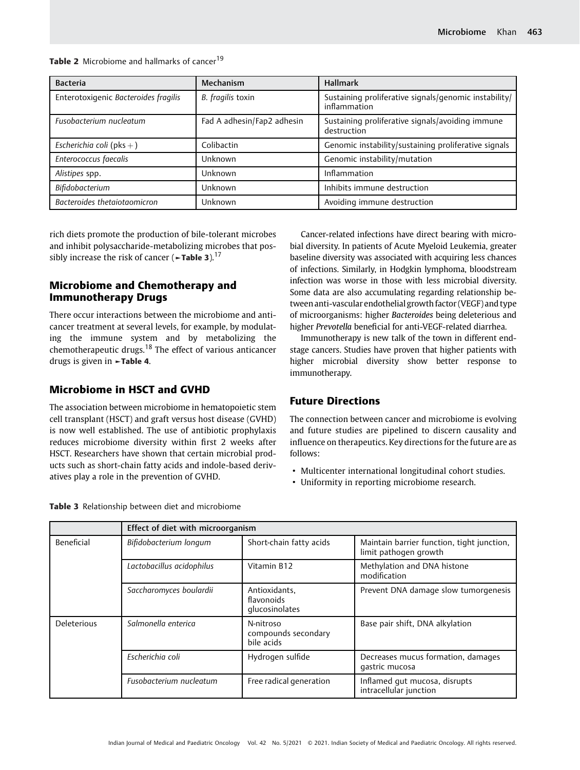| <b>Bacteria</b>                      | Mechanism                  | <b>Hallmark</b>                                                       |
|--------------------------------------|----------------------------|-----------------------------------------------------------------------|
| Enterotoxigenic Bacteroides fragilis | B. fragilis toxin          | Sustaining proliferative signals/genomic instability/<br>inflammation |
| Fusobacterium nucleatum              | Fad A adhesin/Fap2 adhesin | Sustaining proliferative signals/avoiding immune<br>destruction       |
| Escherichia coli (pks $+$ )          | Colibactin                 | Genomic instability/sustaining proliferative signals                  |
| Enterococcus faecalis                | Unknown                    | Genomic instability/mutation                                          |
| Alistipes spp.                       | Unknown                    | Inflammation                                                          |
| Bifidobacterium                      | Unknown                    | Inhibits immune destruction                                           |
| Bacteroides thetaiotaomicron         | Unknown                    | Avoiding immune destruction                                           |

Table 2 Microbiome and hallmarks of cancer<sup>19</sup>

rich diets promote the production of bile-tolerant microbes and inhibit polysaccharide-metabolizing microbes that possibly increase the risk of cancer ( $\sim$ Table 3).<sup>17</sup>

## Microbiome and Chemotherapy and Immunotherapy Drugs

There occur interactions between the microbiome and anticancer treatment at several levels, for example, by modulating the immune system and by metabolizing the chemotherapeutic drugs.<sup>18</sup> The effect of various anticancer drugs is given in ►Table 4.

## Microbiome in HSCT and GVHD

The association between microbiome in hematopoietic stem cell transplant (HSCT) and graft versus host disease (GVHD) is now well established. The use of antibiotic prophylaxis reduces microbiome diversity within first 2 weeks after HSCT. Researchers have shown that certain microbial products such as short-chain fatty acids and indole-based derivatives play a role in the prevention of GVHD.

Cancer-related infections have direct bearing with microbial diversity. In patients of Acute Myeloid Leukemia, greater baseline diversity was associated with acquiring less chances of infections. Similarly, in Hodgkin lymphoma, bloodstream infection was worse in those with less microbial diversity. Some data are also accumulating regarding relationship between anti-vascular endothelial growth factor (VEGF) and type of microorganisms: higher Bacteroides being deleterious and higher Prevotella beneficial for anti-VEGF-related diarrhea.

Immunotherapy is new talk of the town in different endstage cancers. Studies have proven that higher patients with higher microbial diversity show better response to immunotherapy.

## Future Directions

The connection between cancer and microbiome is evolving and future studies are pipelined to discern causality and influence on therapeutics. Key directions for the future are as follows:

- Multicenter international longitudinal cohort studies.
- Uniformity in reporting microbiome research.

|             | Effect of diet with microorganism |                                                |                                                                     |
|-------------|-----------------------------------|------------------------------------------------|---------------------------------------------------------------------|
| Beneficial  | Bifidobacterium longum            | Short-chain fatty acids                        | Maintain barrier function, tight junction,<br>limit pathogen growth |
|             | Lactobacillus acidophilus         | Vitamin B12                                    | Methylation and DNA histone<br>modification                         |
|             | Saccharomyces boulardii           | Antioxidants.<br>flavonoids<br>glucosinolates  | Prevent DNA damage slow tumorgenesis                                |
| Deleterious | Salmonella enterica               | N-nitroso<br>compounds secondary<br>bile acids | Base pair shift, DNA alkylation                                     |
|             | Escherichia coli                  | Hydrogen sulfide                               | Decreases mucus formation, damages<br>qastric mucosa                |
|             | Fusobacterium nucleatum           | Free radical generation                        | Inflamed qut mucosa, disrupts<br>intracellular junction             |

Table 3 Relationship between diet and microbiome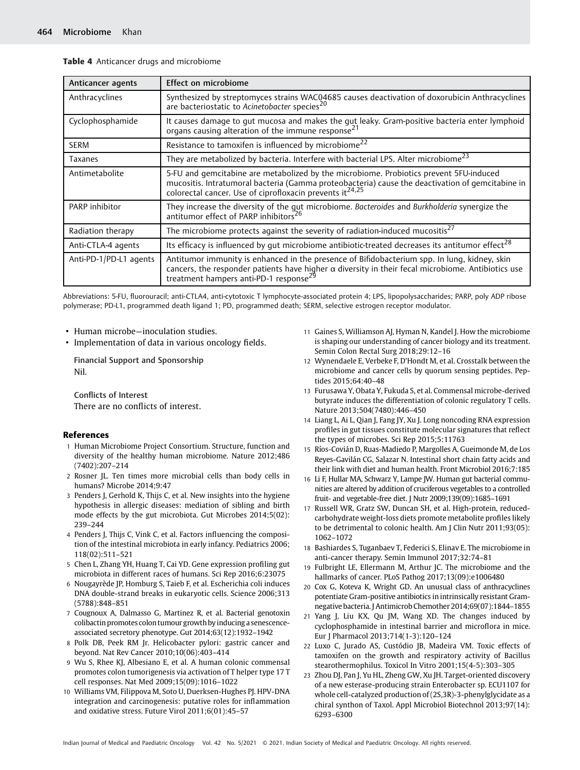| Anticancer agents      | Effect on microbiome                                                                                                                                                                                                                                            |  |
|------------------------|-----------------------------------------------------------------------------------------------------------------------------------------------------------------------------------------------------------------------------------------------------------------|--|
| Anthracyclines         | Synthesized by streptomyces strains WAC04685 causes deactivation of doxorubicin Anthracyclines<br>are bacteriostatic to Acinetobacter species <sup>20</sup>                                                                                                     |  |
| Cyclophosphamide       | It causes damage to gut mucosa and makes the gut leaky. Gram-positive bacteria enter lymphoid<br>organs causing alteration of the immune response <sup>21</sup>                                                                                                 |  |
| <b>SERM</b>            | Resistance to tamoxifen is influenced by microbiome <sup>22</sup>                                                                                                                                                                                               |  |
| Taxanes                | They are metabolized by bacteria. Interfere with bacterial LPS. Alter microbiome <sup>23</sup>                                                                                                                                                                  |  |
| Antimetabolite         | 5-FU and gemcitabine are metabolized by the microbiome. Probiotics prevent 5FU-induced<br>mucositis. Intratumoral bacteria (Gamma proteobacteria) cause the deactivation of gemcitabine in<br>colorectal cancer. Use of ciprofloxacin prevents $it^{24,25}$     |  |
| PARP inhibitor         | They increase the diversity of the gut microbiome. Bacteroides and Burkholderia synergize the antitumor effect of PARP inhibitors <sup>26</sup>                                                                                                                 |  |
| Radiation therapy      | The microbiome protects against the severity of radiation-induced mucositis <sup>27</sup>                                                                                                                                                                       |  |
| Anti-CTLA-4 agents     | Its efficacy is influenced by gut microbiome antibiotic-treated decreases its antitumor effect <sup>28</sup>                                                                                                                                                    |  |
| Anti-PD-1/PD-L1 agents | Antitumor immunity is enhanced in the presence of Bifidobacterium spp. In lung, kidney, skin<br>cancers, the responder patients have higher $\alpha$ diversity in their fecal microbiome. Antibiotics use<br>treatment hampers anti-PD-1 response <sup>29</sup> |  |

Table 4 Anticancer drugs and microbiome

Abbreviations: 5-FU, fluorouracil; anti-CTLA4, anti-cytotoxic T lymphocyte-associated protein 4; LPS, lipopolysaccharides; PARP, poly ADP ribose polymerase; PD-L1, programmed death ligand 1; PD, programmed death; SERM, selective estrogen receptor modulator.

- Human microbe—inoculation studies.
- Implementation of data in various oncology fields.

Financial Support and Sponsorship Nil.

Conflicts of Interest There are no conflicts of interest.

#### References

- 1 Human Microbiome Project Consortium. Structure, function and diversity of the healthy human microbiome. Nature 2012;486 (7402):207–214
- 2 Rosner JL. Ten times more microbial cells than body cells in humans? Microbe 2014;9:47
- 3 Penders J, Gerhold K, Thijs C, et al. New insights into the hygiene hypothesis in allergic diseases: mediation of sibling and birth mode effects by the gut microbiota. Gut Microbes 2014;5(02): 239–244
- 4 Penders J, Thijs C, Vink C, et al. Factors influencing the composition of the intestinal microbiota in early infancy. Pediatrics 2006; 118(02):511–521
- 5 Chen L, Zhang YH, Huang T, Cai YD. Gene expression profiling gut microbiota in different races of humans. Sci Rep 2016;6:23075
- 6 Nougayrède JP, Homburg S, Taieb F, et al. Escherichia coli induces DNA double-strand breaks in eukaryotic cells. Science 2006;313 (5788):848–851
- 7 Cougnoux A, Dalmasso G, Martinez R, et al. Bacterial genotoxin colibactin promotes colon tumour growth by inducing a senescenceassociated secretory phenotype. Gut 2014;63(12):1932–1942
- 8 Polk DB, Peek RM Jr. Helicobacter pylori: gastric cancer and beyond. Nat Rev Cancer 2010;10(06):403–414
- 9 Wu S, Rhee KJ, Albesiano E, et al. A human colonic commensal promotes colon tumorigenesis via activation of T helper type 17 T cell responses. Nat Med 2009;15(09):1016–1022
- 10 Williams VM, Filippova M, Soto U, Duerksen-Hughes PJ. HPV-DNA integration and carcinogenesis: putative roles for inflammation and oxidative stress. Future Virol 2011;6(01):45–57
- 11 Gaines S, Williamson AJ, Hyman N, Kandel J. How the microbiome is shaping our understanding of cancer biology and its treatment. Semin Colon Rectal Surg 2018;29:12–16
- 12 Wynendaele E, Verbeke F, D'Hondt M, et al. Crosstalk between the microbiome and cancer cells by quorum sensing peptides. Peptides 2015;64:40–48
- 13 Furusawa Y, Obata Y, Fukuda S, et al. Commensal microbe-derived butyrate induces the differentiation of colonic regulatory T cells. Nature 2013;504(7480):446–450
- 14 Liang L, Ai L, Qian J, Fang JY, Xu J. Long noncoding RNA expression profiles in gut tissues constitute molecular signatures that reflect the types of microbes. Sci Rep 2015;5:11763
- 15 Ríos-Covián D, Ruas-Madiedo P, Margolles A, Gueimonde M, de Los Reyes-Gavilán CG, Salazar N. Intestinal short chain fatty acids and their link with diet and human health. Front Microbiol 2016;7:185
- 16 Li F, Hullar MA, Schwarz Y, Lampe JW. Human gut bacterial communities are altered by addition of cruciferous vegetables to a controlled fruit- and vegetable-free diet. J Nutr 2009;139(09):1685–1691
- Russell WR, Gratz SW, Duncan SH, et al. High-protein, reducedcarbohydrate weight-loss diets promote metabolite profiles likely to be detrimental to colonic health. Am J Clin Nutr 2011;93(05): 1062–1072
- 18 Bashiardes S, Tuganbaev T, Federici S, Elinav E. The microbiome in anti-cancer therapy. Semin Immunol 2017;32:74–81
- 19 Fulbright LE, Ellermann M, Arthur JC. The microbiome and the hallmarks of cancer. PLoS Pathog 2017;13(09):e1006480
- 20 Cox G, Koteva K, Wright GD. An unusual class of anthracyclines potentiate Gram-positive antibiotics in intrinsically resistant Gramnegative bacteria. J Antimicrob Chemother 2014;69(07):1844–1855
- 21 Yang J, Liu KX, Qu JM, Wang XD. The changes induced by cyclophosphamide in intestinal barrier and microflora in mice. Eur J Pharmacol 2013;714(1-3):120–124
- 22 Luxo C, Jurado AS, Custódio JB, Madeira VM. Toxic effects of tamoxifen on the growth and respiratory activity of Bacillus stearothermophilus. Toxicol In Vitro 2001;15(4-5):303–305
- 23 Zhou DJ, Pan J, Yu HL, Zheng GW, Xu JH. Target-oriented discovery of a new esterase-producing strain Enterobacter sp. ECU1107 for whole cell-catalyzed production of (2S,3R)-3-phenylglycidate as a chiral synthon of Taxol. Appl Microbiol Biotechnol 2013;97(14): 6293–6300